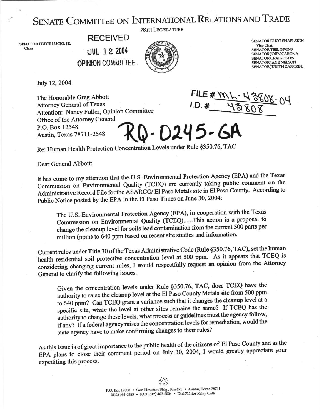## SENATE COMMITTLE ON INTERNATIONAL RELATIONS AND TRADE

**SENATOR EDDIE LUCIO, JR.**  chair

,.

**RECEIVED tJUL 12 2004 OPINION COMMITTEE** 



SENATOR ELIOT SHAPLEIGH **Vice Chair SENATOR TEEL BIVINS SENATOR JOHN CARONA SENATOR CRAIG ESTES SENATOR JANE NELSON SENATOR JUDITH ZAFFIRINI** 

July 12,2004

The Honorable Greg Abbott Attorney General of Texas [ Attention: Nancy Fuller, Qpinion Committee Office of the Attorney General D-D245-GA P.O. Box 12548 Austin, Texas 787 1 l-2548

Re: Human Health Protection Concentration Levels under Rule \$350.76, TAC

Dear General Abbott:

It has come to my attention that the U.S. Environmental Protection Agency (EPA) and the Texas Commission on Environmental Quality (TCEQ) are currently taking public comment on the Administrative Record File for the ASARCO/ El Paso Metals site in El Paso County. According to Public Notice posted by the EPA in the El Paso Times on June 30,2004:

The U.S. Environmental Protection Agency (EPA), in cooperation with the Texas Commission on Environmental Quality (TCEQ),.....This action is a proposal to change the cleanup level for soils lead contamination from the current 500 parts per million (ppm) to 640 ppm based on recent site studies and information.

Current rules under Title 30 of the Texas Administrative Code (Rule  $$350.76$ , The  $$900$ ,  $$250.76$ , The  $$7$ CEO is health residential soil protective concentration level at 500 ppm. As it appears that TCEQ considering changing current rules, I would respectfully request an opinion from the Attorney General to clarity the following issues:

Given the concentration levels under Rule \$350.76, TAC, does TCEQ have the authority to raise the cleanup level at the El Paso County Metals site from 500 ppm to 640 ppm? Can TCEQ grant a variance such that it changes the cleanup level at a specific site, while the level at other sites remains the same? If TCEQ has the authority to change these levels, what process or guidelines must the agency follow, if any7 If a federal agency raises the concentration levels for remediation, would the state agency have to make confirming changes to their rules?

As this issue is of great importance to the public health of the citizens of El Paso County and as the EPA plans to close their comment period on July 30, 2004, I would greatly appreciate your expediting this process.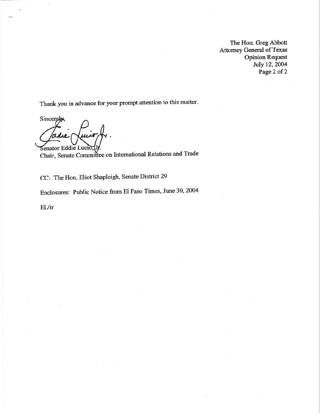The Hon. Greg Abbott Attorney General of Texas Opinion Request July 12,2004 Page 2 of 2

Thank you in advance for your prompt attention to this matter.

Sincerely adu Senator Eddie Lucio

Chair, Senate Committee on International Relations and Trade

CC: The Hon. Eliot Shapleigh, Senate District 29

Enclosures: Public Notice from El Paso Times, June 30,2004

EL/ir